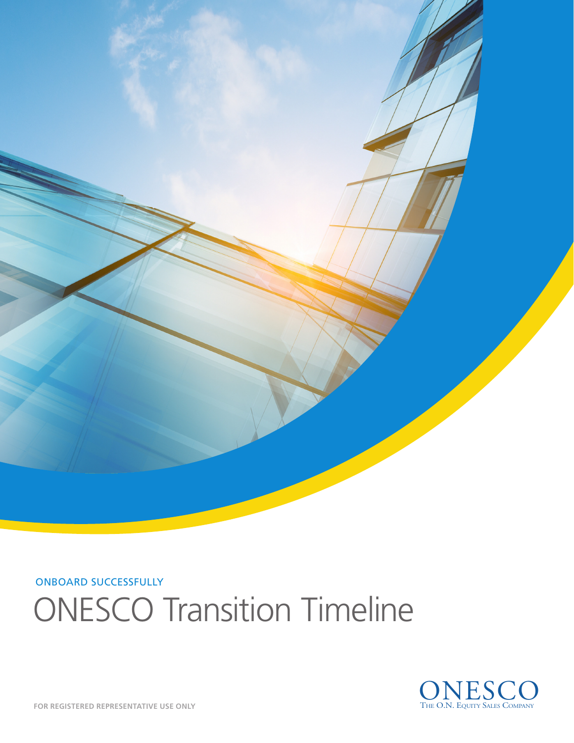

ONBOARD SUCCESSFULLY

# ONESCO Transition Timeline

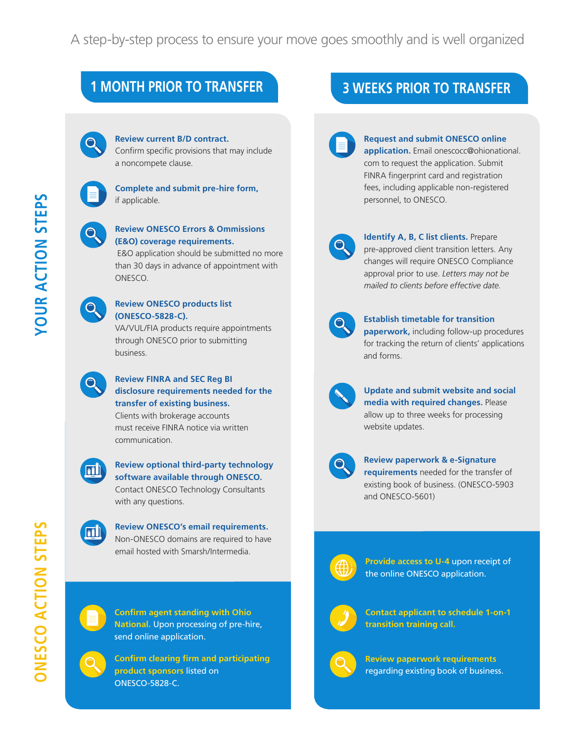### **1 MONTH PRIOR TO TRANSFER 3 WEEKS PRIOR TO TRANSFER**



### **Review current B/D contract.**

Confirm specific provisions that may include a noncompete clause.

### **Complete and submit pre-hire form,**  if applicable.

### **Review ONESCO Errors & Ommissions (E&O) coverage requirements.**

 E&O application should be submitted no more than 30 days in advance of appointment with ONESCO.

### **Review ONESCO products list (ONESCO-5828-C).**

VA/VUL/FIA products require appointments through ONESCO prior to submitting business.

### **Review FINRA and SEC Reg BI disclosure requirements needed for the transfer of existing business.**

Clients with brokerage accounts must receive FINRA notice via written communication.



### **Review optional third-party technology software available through ONESCO.**

Contact ONESCO Technology Consultants with any questions.

**Review ONESCO's email requirements.**  Non-ONESCO domains are required to have

email hosted with Smarsh/Intermedia.



**Confirm agent standing with Ohio National.** Upon processing of pre-hire, send online application.

## **Confirm clearing firm and participating**

**product sponsors** listed on ONESCO-5828-C.

### **Request and submit ONESCO online application.** Email onescocc@ohionational. com to request the application. Submit FINRA fingerprint card and registration fees, including applicable non-registered personnel, to ONESCO.



**Identify A, B, C list clients. Prepare** pre-approved client transition letters. Any changes will require ONESCO Compliance approval prior to use. *Letters may not be mailed to clients before effective date.* 

### **Establish timetable for transition paperwork,** including follow-up procedures for tracking the return of clients' applications and forms.



**Update and submit website and social media with required changes.** Please allow up to three weeks for processing website updates.



### **Review paperwork & e-Signature**

**requirements** needed for the transfer of existing book of business. (ONESCO-5903 and ONESCO-5601)

|  | ٠ |  |
|--|---|--|
|  |   |  |
|  |   |  |
|  |   |  |

**Provide access to U-4** upon receipt of the online ONESCO application.



**Contact applicant to schedule 1-on-1 transition training call.** 



**Review paperwork requirements** regarding existing book of business.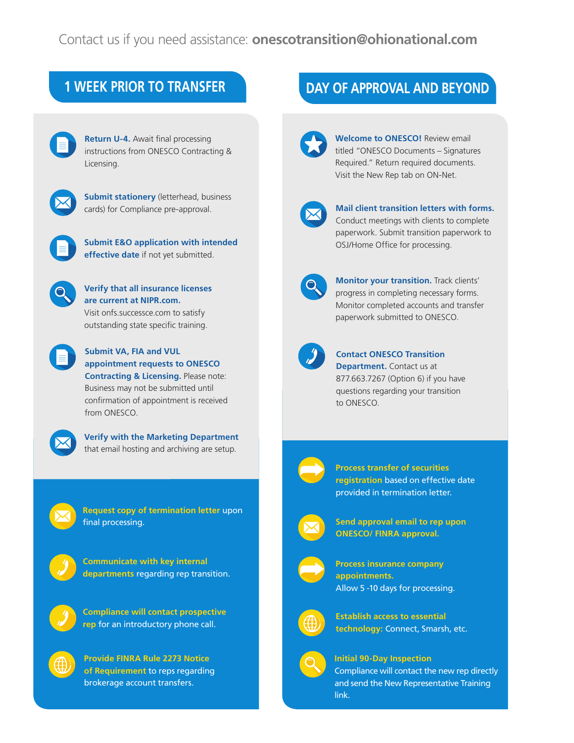**Return U-4.** Await final processing instructions from ONESCO Contracting & Licensing.



**Submit stationery** (letterhead, business cards) for Compliance pre-approval.



**Submit E&O application with intended effective date** if not yet submitted.

**Verify that all insurance licenses are current at NIPR.com.**  Visit onfs.successce.com to satisfy outstanding state specific training.



**Submit VA, FIA and VUL appointment requests to ONESCO Contracting & Licensing.** Please note: Business may not be submitted until confirmation of appointment is received



**Verify with the Marketing Department**  that email hosting and archiving are setup.



**Request copy of termination letter** upon final processing.

**Communicate with key internal departments** regarding rep transition.

from ONESCO.



**Provide FINRA Rule 2273 Notice of Requirement** to reps regarding brokerage account transfers.

### **1 WEEK PRIOR TO TRANSFER DAY OF APPROVAL AND BEYOND**



**Welcome to ONESCO!** Review email titled "ONESCO Documents – Signatures Required." Return required documents. Visit the New Rep tab on ON-Net.



### **Mail client transition letters with forms.**  Conduct meetings with clients to complete paperwork. Submit transition paperwork to OSJ/Home Office for processing.



**Monitor your transition.** Track clients' progress in completing necessary forms. Monitor completed accounts and transfer paperwork submitted to ONESCO.



**Contact ONESCO Transition Department.** Contact us at 877.663.7267 (Option 6) if you have questions regarding your transition to ONESCO.



**Process transfer of securities registration** based on effective date provided in termination letter.



**Send approval email to rep upon ONESCO/ FINRA approval.** 



**Process insurance company appointments.** Allow 5 -10 days for processing.



**Establish access to essential technology:** Connect, Smarsh, etc.



**Initial 90-Day Inspection** Compliance will contact the new rep directly and send the New Representative Training link.